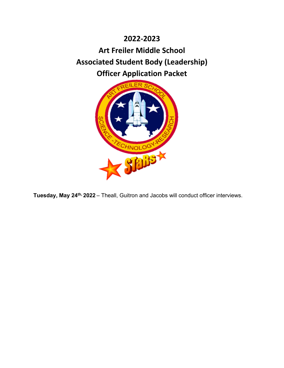# **2022-2023 Art Freiler Middle School Associated Student Body (Leadership) Officer Application Packet**



**Tuesday, May 24th, 2022** – Theall, Guitron and Jacobs will conduct officer interviews.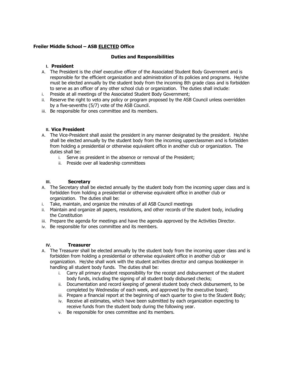#### **Freiler Middle School – ASB ELECTED Office**

#### **Duties and Responsibilities**

#### **I. President**

- A. The President is the chief executive officer of the Associated Student Body Government and is responsible for the efficient organization and administration of its policies and programs. He/she must be elected annually by the student body from the incoming 8th grade class and is forbidden to serve as an officer of any other school club or organization. The duties shall include:
- i. Preside at all meetings of the Associated Student Body Government;
- ii. Reserve the right to veto any policy or program proposed by the ASB Council unless overridden by a five-sevenths (5/7) vote of the ASB Council.
- iii. Be responsible for ones committee and its members.

#### **II. Vice President**

- A. The Vice-President shall assist the president in any manner designated by the president. He/she shall be elected annually by the student body from the incoming upperclassmen and is forbidden from holding a presidential or otherwise equivalent office in another club or organization. The duties shall be:
	- i. Serve as president in the absence or removal of the President;
	- ii. Preside over all leadership committees

#### **III. Secretary**

- A. The Secretary shall be elected annually by the student body from the incoming upper class and is forbidden from holding a presidential or otherwise equivalent office in another club or organization. The duties shall be:
- i. Take, maintain, and organize the minutes of all ASB Council meetings
- ii. Maintain and organize all papers, resolutions, and other records of the student body, including the Constitution
- iii. Prepare the agenda for meetings and have the agenda approved by the Activities Director.
- iv. Be responsible for ones committee and its members.

#### **IV. Treasurer**

- A. The Treasurer shall be elected annually by the student body from the incoming upper class and is forbidden from holding a presidential or otherwise equivalent office in another club or organization. He/she shall work with the student activities director and campus bookkeeper in handling all student body funds. The duties shall be:
	- i. Carry all primary student responsibility for the receipt and disbursement of the student body funds, including the signing of all student body disbursed checks;
	- ii. Documentation and record keeping of general student body check disbursement, to be completed by Wednesday of each week, and approved by the executive board;
	- iii. Prepare a financial report at the beginning of each quarter to give to the Student Body;
	- iv. Receive all estimates, which have been submitted by each organization expecting to receive funds from the student body during the following year.
	- v. Be responsible for ones committee and its members.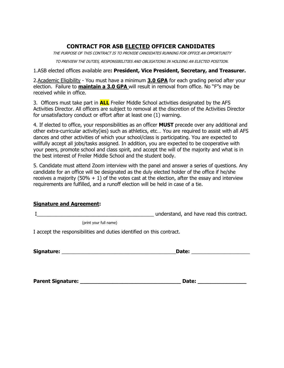## **CONTRACT FOR ASB ELECTED OFFICER CANDIDATES**

THE PURPOSE OF THIS CONTRACT IS TO PROVIDE CANDIDATES RUNNING FOR OFFICE AN OPPORTUNITY

TO PREVIEW THE DUTIES, RESPONSIBILITIES AND OBLIGATIONS IN HOLDING AN ELECTED POSITION.

1.ASB elected offices available are**: President, Vice President, Secretary, and Treasurer.**

2.Academic Eligibility - You must have a minimum **3.0 GPA** for each grading period after your election. Failure to **maintain a 3.0 GPA** will result in removal from office. No "F"s may be received while in office.

3. Officers must take part in **ALL** Freiler Middle School activities designated by the AFS Activities Director. All officers are subject to removal at the discretion of the Activities Director for unsatisfactory conduct or effort after at least one (1) warning.

4. If elected to office, your responsibilities as an officer **MUST** precede over any additional and other extra-curricular activity(ies) such as athletics, etc… You are required to assist with all AFS dances and other activities of which your school/class is participating. You are expected to willfully accept all jobs/tasks assigned. In addition, you are expected to be cooperative with your peers, promote school and class spirit, and accept the will of the majority and what is in the best interest of Freiler Middle School and the student body.

5. Candidate must attend Zoom interview with the panel and answer a series of questions. Any candidate for an office will be designated as the duly elected holder of the office if he/she receives a majority (50%  $+$  1) of the votes cast at the election, after the essay and interview requirements are fulfilled, and a runoff election will be held in case of a tie.

### **Signature and Agreement:**

I contract in the contract of the contract of the understand, and have read this contract.

(print your full name)

I accept the responsibilities and duties identified on this contract.

**Signature:** \_\_\_\_\_\_\_\_\_\_\_\_\_\_\_\_\_\_\_\_\_\_\_\_\_\_\_\_\_\_\_\_\_\_\_\_\_\_\_\_\_**Date:** \_\_\_\_\_\_\_\_\_\_\_\_\_\_\_\_\_\_\_\_\_

| <b>Parent Signature:</b> | Date: |  |
|--------------------------|-------|--|
|                          |       |  |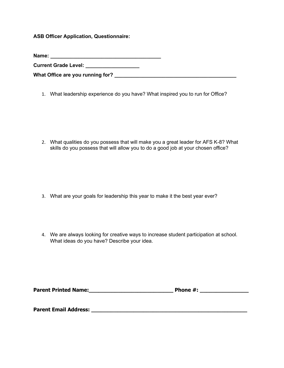**ASB Officer Application, Questionnaire:** 

**Name: \_\_\_\_\_\_\_\_\_\_\_\_\_\_\_\_\_\_\_\_\_\_\_\_\_\_\_\_\_\_\_\_\_\_\_\_\_\_\_** 

**Current Grade Level: \_\_\_\_\_\_\_\_\_\_\_\_\_\_\_\_\_\_\_**

**What Office are you running for? \_\_\_\_\_\_\_\_\_\_\_\_\_\_\_\_\_\_\_\_\_\_\_\_\_\_\_\_\_\_\_\_\_\_\_\_\_\_\_\_\_\_\_** 

1. What leadership experience do you have? What inspired you to run for Office?

2. What qualities do you possess that will make you a great leader for AFS K-8? What skills do you possess that will allow you to do a good job at your chosen office?

- 3. What are your goals for leadership this year to make it the best year ever?
- 4. We are always looking for creative ways to increase student participation at school. What ideas do you have? Describe your idea.

| <b>Parent Printed Name:</b><br>Phone #: |  |
|-----------------------------------------|--|
|-----------------------------------------|--|

**Parent Email Address: \_\_\_\_\_\_\_\_\_\_\_\_\_\_\_\_\_\_\_\_\_\_\_\_\_\_\_\_\_\_\_\_\_\_\_\_\_\_\_\_\_\_\_\_\_\_\_\_**